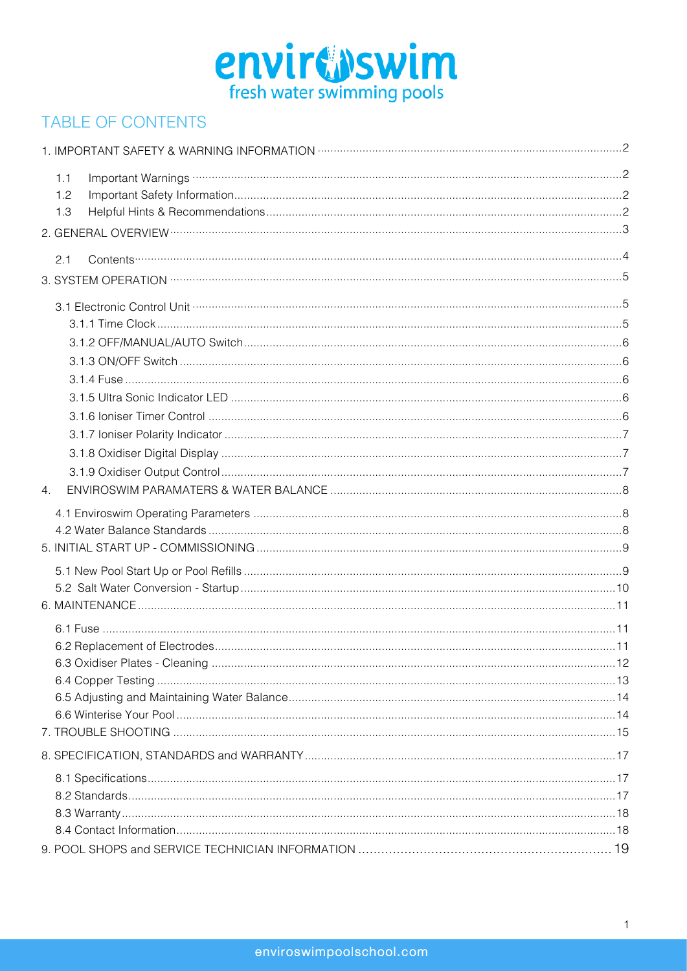

## **TABLE OF CONTENTS**

| 1.1              | Important Warnings <b>William Strategier Strategier (2008)</b> |  |
|------------------|----------------------------------------------------------------|--|
| 1.2              |                                                                |  |
| 1.3              |                                                                |  |
|                  |                                                                |  |
| 2.1              |                                                                |  |
|                  |                                                                |  |
|                  |                                                                |  |
|                  |                                                                |  |
|                  |                                                                |  |
|                  |                                                                |  |
|                  |                                                                |  |
|                  |                                                                |  |
|                  |                                                                |  |
|                  |                                                                |  |
|                  |                                                                |  |
|                  |                                                                |  |
| $\overline{4}$ . |                                                                |  |
|                  |                                                                |  |
|                  |                                                                |  |
|                  |                                                                |  |
|                  |                                                                |  |
|                  |                                                                |  |
|                  |                                                                |  |
|                  |                                                                |  |
|                  |                                                                |  |
|                  |                                                                |  |
|                  |                                                                |  |
|                  |                                                                |  |
|                  |                                                                |  |
|                  |                                                                |  |
|                  |                                                                |  |
|                  |                                                                |  |
|                  |                                                                |  |
|                  |                                                                |  |
|                  |                                                                |  |
|                  |                                                                |  |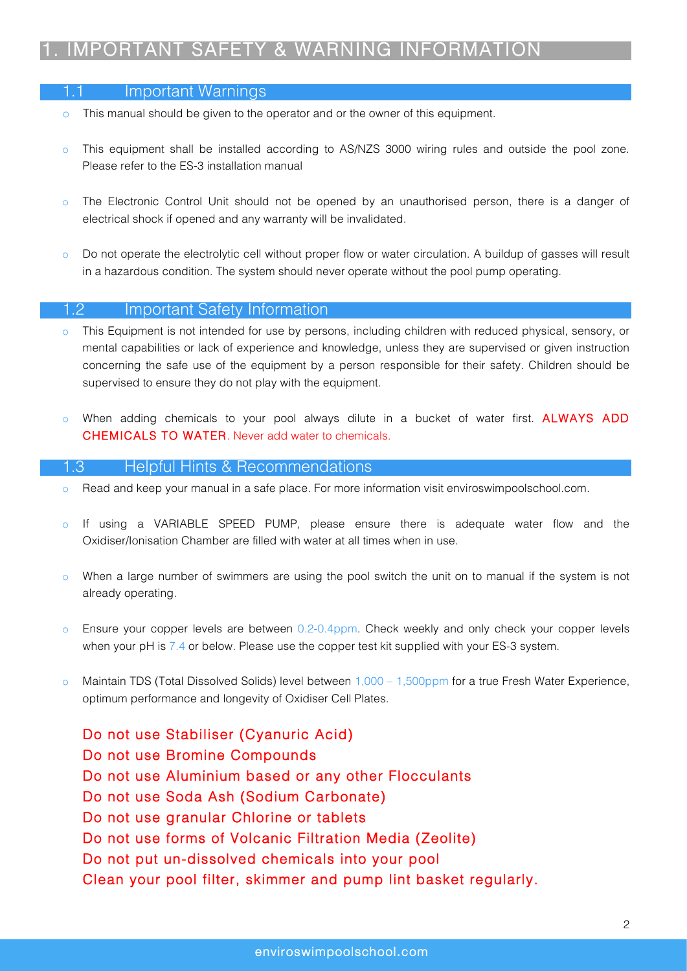## 1. IMPORTANT SAFETY & WARNING INFORMATION

#### 1.1 Important Warnings

- o This manual should be given to the operator and or the owner of this equipment.
- o This equipment shall be installed according to AS/NZS 3000 wiring rules and outside the pool zone. Please refer to the ES-3 installation manual
- o The Electronic Control Unit should not be opened by an unauthorised person, there is a danger of electrical shock if opened and any warranty will be invalidated.
- Do not operate the electrolytic cell without proper flow or water circulation. A buildup of gasses will result in a hazardous condition. The system should never operate without the pool pump operating.

#### 1.2 Important Safety Information

- o This Equipment is not intended for use by persons, including children with reduced physical, sensory, or mental capabilities or lack of experience and knowledge, unless they are supervised or given instruction concerning the safe use of the equipment by a person responsible for their safety. Children should be supervised to ensure they do not play with the equipment.
- o When adding chemicals to your pool always dilute in a bucket of water first. ALWAYS ADD CHEMICALS TO WATER. Never add water to chemicals.

#### 1.3 Helpful Hints & Recommendations

- o Read and keep your manual in a safe place. For more information visit enviroswimpoolschool.com.
- o If using a VARIABLE SPEED PUMP, please ensure there is adequate water flow and the Oxidiser/Ionisation Chamber are filled with water at all times when in use.
- o When a large number of swimmers are using the pool switch the unit on to manual if the system is not already operating.
- o Ensure your copper levels are between 0.2-0.4ppm. Check weekly and only check your copper levels when your pH is 7.4 or below. Please use the copper test kit supplied with your ES-3 system.
- o Maintain TDS (Total Dissolved Solids) level between 1,000 1,500ppm for a true Fresh Water Experience, optimum performance and longevity of Oxidiser Cell Plates.

Do not use Stabiliser (Cyanuric Acid) Do not use Bromine Compounds Do not use Aluminium based or any other Flocculants Do not use Soda Ash (Sodium Carbonate) Do not use granular Chlorine or tablets Do not use forms of Volcanic Filtration Media (Zeolite) Do not put un-dissolved chemicals into your pool Clean your pool filter, skimmer and pump lint basket regularly.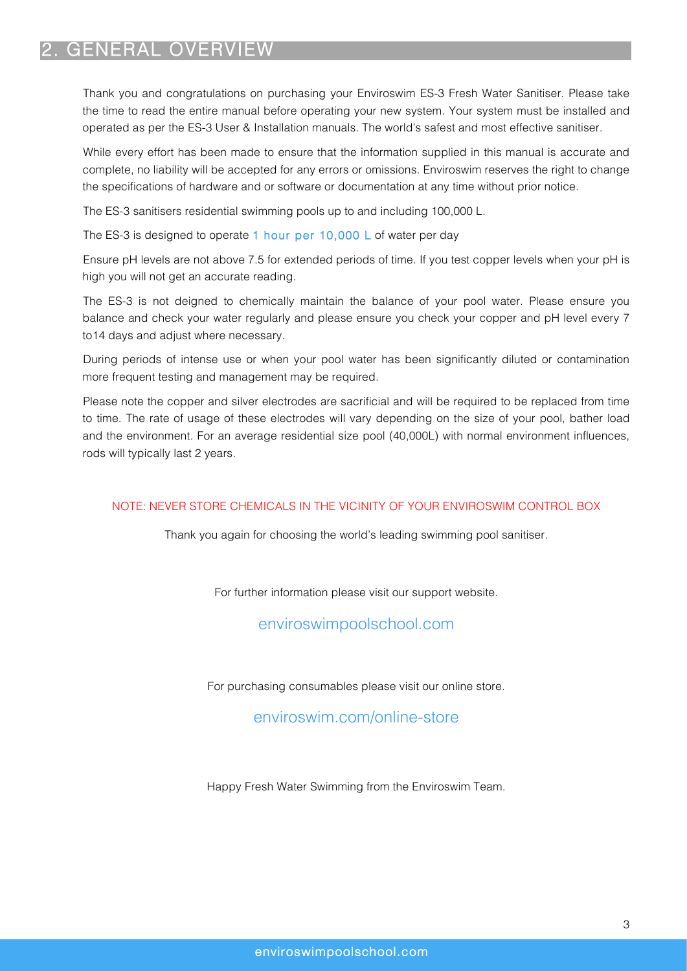## 2. GENERAL OVERVIEW

Thank you and congratulations on purchasing your Enviroswim ES-3 Fresh Water Sanitiser. Please take the time to read the entire manual before operating your new system. Your system must be installed and operated as per the ES-3 User & Installation manuals. The world's safest and most effective sanitiser.

While every effort has been made to ensure that the information supplied in this manual is accurate and complete, no liability will be accepted for any errors or omissions. Enviroswim reserves the right to change the specifications of hardware and or software or documentation at any time without prior notice.

The ES-3 sanitisers residential swimming pools up to and including 100,000 L.

The ES-3 is designed to operate 1 hour per 10,000 L of water per day

Ensure pH levels are not above 7.5 for extended periods of time. If you test copper levels when your pH is high you will not get an accurate reading.

The ES-3 is not deigned to chemically maintain the balance of your pool water. Please ensure you balance and check your water regularly and please ensure you check your copper and pH level every 7 to14 days and adjust where necessary.

During periods of intense use or when your pool water has been significantly diluted or contamination more frequent testing and management may be required.

Please note the copper and silver electrodes are sacrificial and will be required to be replaced from time to time. The rate of usage of these electrodes will vary depending on the size of your pool, bather load and the environment. For an average residential size pool (40,000L) with normal environment influences, rods will typically last 2 years.

#### NOTE: NEVER STORE CHEMICALS IN THE VICINITY OF YOUR ENVIROSWIM CONTROL BOX

Thank you again for choosing the world's leading swimming pool sanitiser.

For further information please visit our support website.

enviroswimpoolschool.com

For purchasing consumables please visit our online store.

### enviroswim.com/online-store

Happy Fresh Water Swimming from the Enviroswim Team.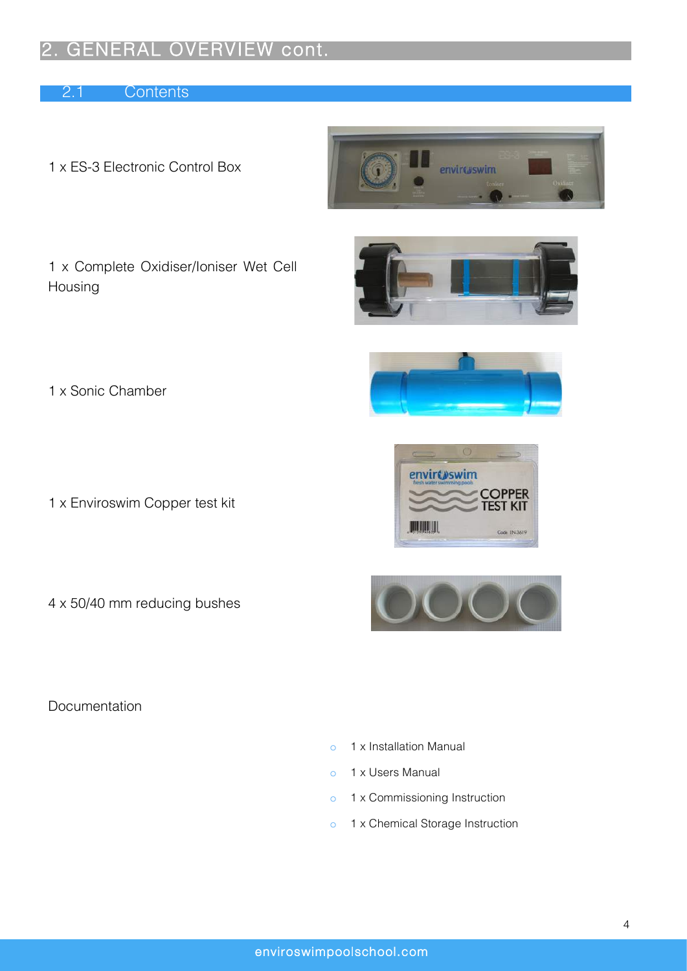## GENERAL OVERVIEW cont.

2.1 Contents

1 x ES-3 Electronic Control Box



1 x Complete Oxidiser/Ioniser Wet Cell Housing







- 1 x Enviroswim Copper test kit
- 4 x 50/40 mm reducing bushes





Documentation

- o 1 x Installation Manual
- o 1 x Users Manual
- o 1 x Commissioning Instruction
- o 1 x Chemical Storage Instruction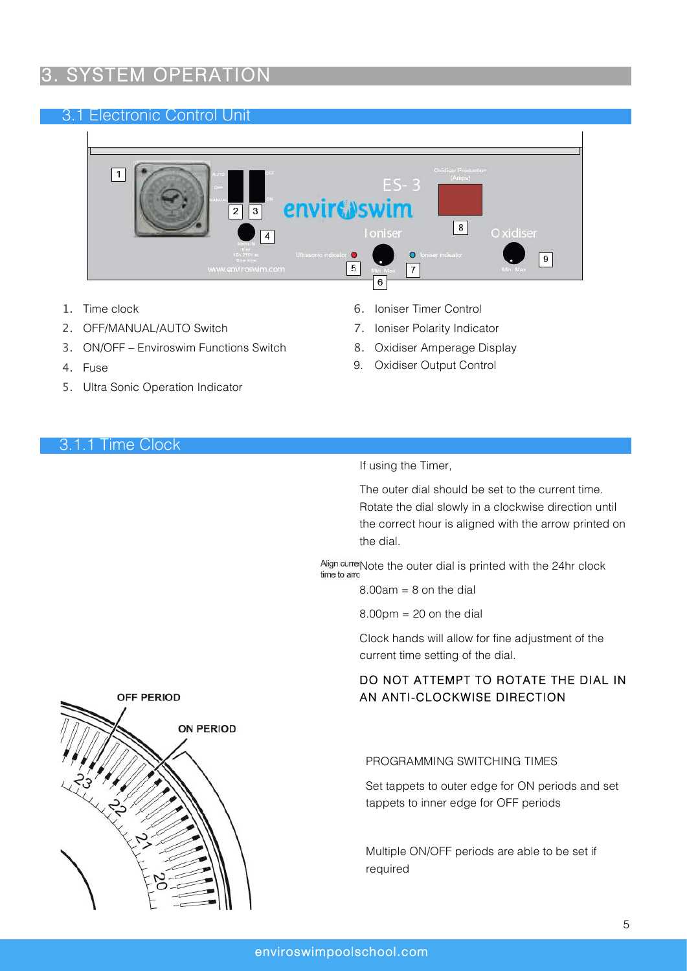# SYSTEM OPERATION

### 3.1 Electronic Control Unit



- 1. Time clock
- 2. OFF/MANUAL/AUTO Switch
- 3. ON/OFF Enviroswim Functions Switch
- 4. Fuse
- 5. Ultra Sonic Operation Indicator
- 6. Ioniser Timer Control
- 7. Ioniser Polarity Indicator
- 8. Oxidiser Amperage Display
- 9. Oxidiser Output Control

#### 3.1.1 Time Clock

#### If using the Timer,

The outer dial should be set to the current time. Rotate the dial slowly in a clockwise direction until the correct hour is aligned with the arrow printed on the dial.

Align currer Note the outer dial is printed with the  $24$ hr clock time to arrow

 $8.00$ am =  $8$  on the dial

 $8.00 \text{pm} = 20$  on the dial

Clock hands will allow for fine adjustment of the current time setting of the dial.

### DO NOT ATTEMPT TO ROTATE THE DIAL IN AN ANTI-CLOCKWISE DIRECTION

#### PROGRAMMING SWITCHING TIMES

Set tappets to outer edge for ON periods and set tappets to inner edge for OFF periods

Multiple ON/OFF periods are able to be set if required

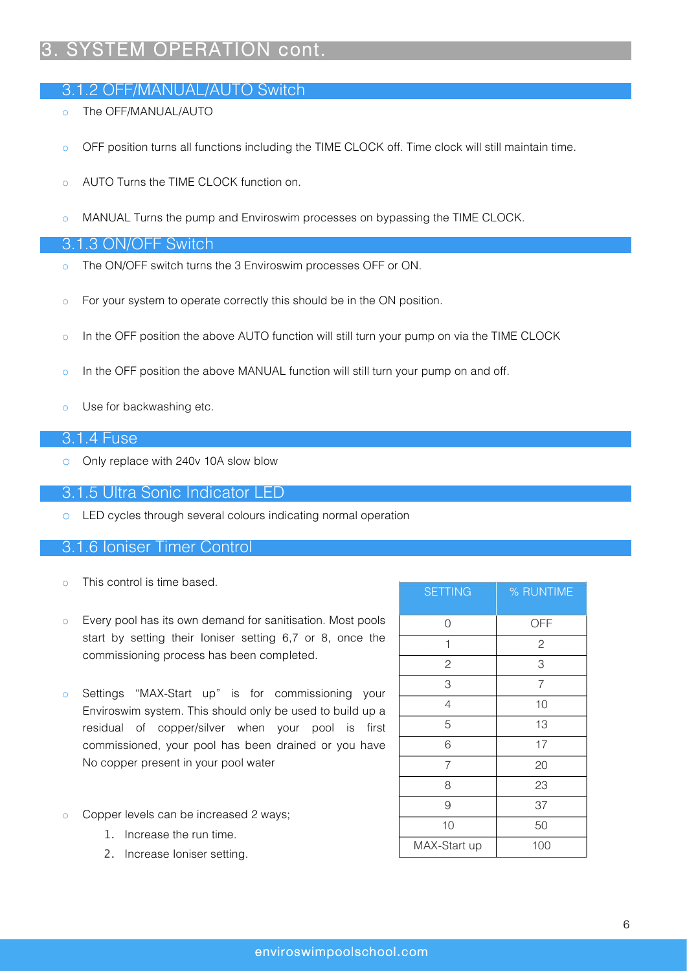# 3. SYSTEM OPERATION cont.

### 3.1.2 OFF/MANUAL/AUTO Switch

- o The OFF/MANUAL/AUTO
- o OFF position turns all functions including the TIME CLOCK off. Time clock will still maintain time.
- o AUTO Turns the TIME CLOCK function on.
- o MANUAL Turns the pump and Enviroswim processes on bypassing the TIME CLOCK.

#### 3.1.3 ON/OFF Switch

- o The ON/OFF switch turns the 3 Enviroswim processes OFF or ON.
- o For your system to operate correctly this should be in the ON position.
- o In the OFF position the above AUTO function will still turn your pump on via the TIME CLOCK
- o In the OFF position the above MANUAL function will still turn your pump on and off.
- o Use for backwashing etc.

#### 3.1.4 Fuse

o Only replace with 240v 10A slow blow

#### 3.1.5 Ultra Sonic Indicator LED

o LED cycles through several colours indicating normal operation

#### 3.1.6 Ioniser Timer Control

- o This control is time based.
- o Every pool has its own demand for sanitisation. Most pools start by setting their Ioniser setting 6,7 or 8, once the commissioning process has been completed.
- o Settings "MAX-Start up" is for commissioning your Enviroswim system. This should only be used to build up a residual of copper/silver when your pool is first commissioned, your pool has been drained or you have No copper present in your pool water
- o Copper levels can be increased 2 ways;
	- 1. Increase the run time.
	- 2. Increase Ioniser setting.

| <b>SETTING</b> | % RUNTIME      |
|----------------|----------------|
| 0              | OFF            |
| 1              | $\overline{c}$ |
| $\mathbf{2}$   | 3              |
| 3              | $\overline{7}$ |
| 4              | 10             |
| 5              | 13             |
| 6              | 17             |
| $\overline{7}$ | 20             |
| 8              | 23             |
| 9              | 37             |
| 10             | 50             |
| MAX-Start up   | 100            |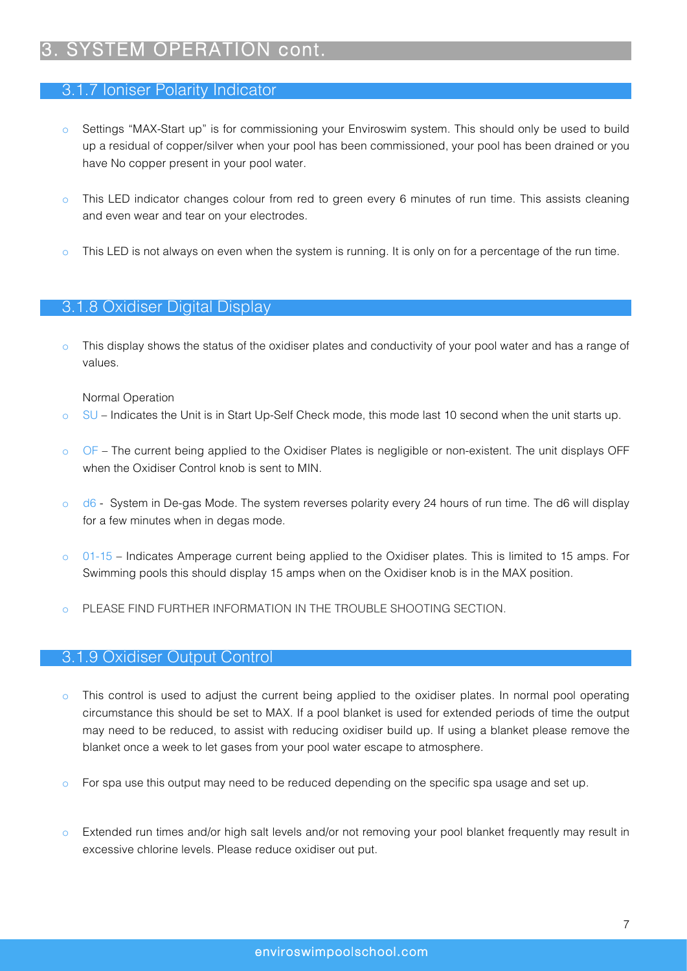# SYSTEM OPERATION cont.

#### 3.1.7 Ioniser Polarity Indicator

- o Settings "MAX-Start up" is for commissioning your Enviroswim system. This should only be used to build up a residual of copper/silver when your pool has been commissioned, your pool has been drained or you have No copper present in your pool water.
- o This LED indicator changes colour from red to green every 6 minutes of run time. This assists cleaning and even wear and tear on your electrodes.
- This LED is not always on even when the system is running. It is only on for a percentage of the run time.

### 3.1.8 Oxidiser Digital Display

This display shows the status of the oxidiser plates and conductivity of your pool water and has a range of values.

Normal Operation

- o SU Indicates the Unit is in Start Up-Self Check mode, this mode last 10 second when the unit starts up.
- o OF The current being applied to the Oxidiser Plates is negligible or non-existent. The unit displays OFF when the Oxidiser Control knob is sent to MIN.
- o d6 System in De-gas Mode. The system reverses polarity every 24 hours of run time. The d6 will display for a few minutes when in degas mode.
- o 01-15 Indicates Amperage current being applied to the Oxidiser plates. This is limited to 15 amps. For Swimming pools this should display 15 amps when on the Oxidiser knob is in the MAX position.
- PLEASE FIND FURTHER INFORMATION IN THE TROUBLE SHOOTING SECTION.

#### 3.1.9 Oxidiser Output Control

- o This control is used to adjust the current being applied to the oxidiser plates. In normal pool operating circumstance this should be set to MAX. If a pool blanket is used for extended periods of time the output may need to be reduced, to assist with reducing oxidiser build up. If using a blanket please remove the blanket once a week to let gases from your pool water escape to atmosphere.
- $\circ$  For spa use this output may need to be reduced depending on the specific spa usage and set up.
- o Extended run times and/or high salt levels and/or not removing your pool blanket frequently may result in excessive chlorine levels. Please reduce oxidiser out put.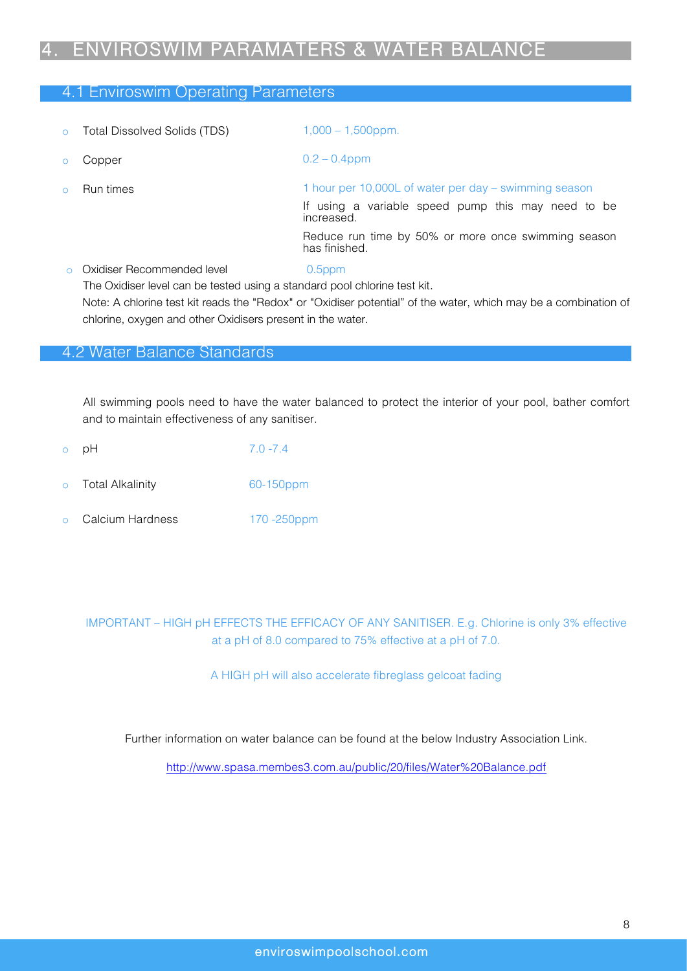## 4. ENVIROSWIM PARAMATERS & WATER BALANCE

#### 4.1 Enviroswim Operating Parameters

| $\circ$  | <b>Total Dissolved Solids (TDS)</b>                                                                     | $1,000 - 1,500$ ppm.                                                                                                      |
|----------|---------------------------------------------------------------------------------------------------------|---------------------------------------------------------------------------------------------------------------------------|
|          | Copper                                                                                                  | $0.2 - 0.4$ ppm                                                                                                           |
| $\Omega$ | Run times                                                                                               | 1 hour per 10,000L of water per day – swimming season<br>If using a variable speed pump this may need to be<br>increased. |
|          |                                                                                                         | Reduce run time by 50% or more once swimming season<br>has finished.                                                      |
|          | Oxidiser Recommended level<br>The Oxidiser level can be tested using a standard pool chlorine test kit. | $0.5$ ppm                                                                                                                 |

Note: A chlorine test kit reads the "Redox" or "Oxidiser potential" of the water, which may be a combination of chlorine, oxygen and other Oxidisers present in the water.

#### 4.2 Water Balance Standards

All swimming pools need to have the water balanced to protect the interior of your pool, bather comfort and to maintain effectiveness of any sanitiser.

|         | o pH                    | $7.0 - 7.4$ |
|---------|-------------------------|-------------|
| $\circ$ | <b>Total Alkalinity</b> | 60-150ppm   |

o Calcium Hardness 170 -250ppm

### IMPORTANT – HIGH pH EFFECTS THE EFFICACY OF ANY SANITISER. E.g. Chlorine is only 3% effective at a pH of 8.0 compared to 75% effective at a pH of 7.0.

A HIGH pH will also accelerate fibreglass gelcoat fading

Further information on water balance can be found at the below Industry Association Link.

http://www.spasa.membes3.com.au/public/20/files/Water%20Balance.pdf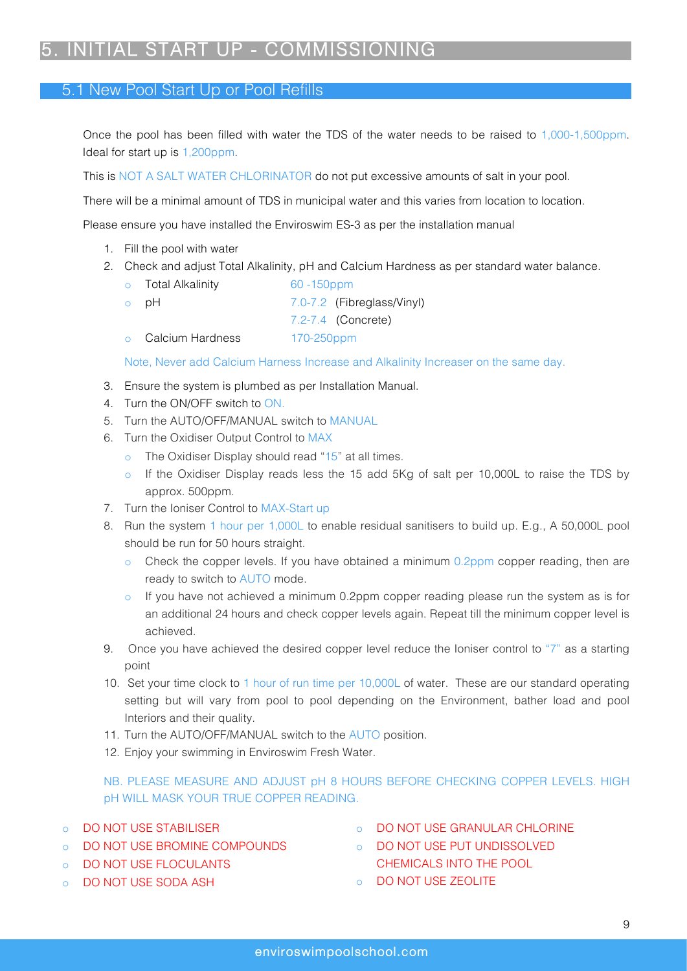## 5. INITIAL START UP - COMMISSIONING

#### 5.1 New Pool Start Up or Pool Refills

Once the pool has been filled with water the TDS of the water needs to be raised to 1,000-1,500ppm. Ideal for start up is 1,200ppm.

This is NOT A SALT WATER CHLORINATOR do not put excessive amounts of salt in your pool.

There will be a minimal amount of TDS in municipal water and this varies from location to location.

Please ensure you have installed the Enviroswim ES-3 as per the installation manual

- 1. Fill the pool with water
- 2. Check and adjust Total Alkalinity, pH and Calcium Hardness as per standard water balance.
	- o Total Alkalinity 60 -150ppm o pH 7.0-7.2 (Fibreglass/Vinyl) 7.2-7.4 (Concrete) o Calcium Hardness 170-250ppm

Note, Never add Calcium Harness Increase and Alkalinity Increaser on the same day.

- 3. Ensure the system is plumbed as per Installation Manual.
- 4. Turn the ON/OFF switch to ON.
- 5. Turn the AUTO/OFF/MANUAL switch to MANUAL
- 6. Turn the Oxidiser Output Control to MAX
	- The Oxidiser Display should read "15" at all times.
	- o If the Oxidiser Display reads less the 15 add 5Kg of salt per 10,000L to raise the TDS by approx. 500ppm.
- 7. Turn the Ioniser Control to MAX-Start up
- 8. Run the system 1 hour per 1,000L to enable residual sanitisers to build up. E.g., A 50,000L pool should be run for 50 hours straight.
	- $\circ$  Check the copper levels. If you have obtained a minimum 0.2ppm copper reading, then are ready to switch to AUTO mode.
	- o If you have not achieved a minimum 0.2ppm copper reading please run the system as is for an additional 24 hours and check copper levels again. Repeat till the minimum copper level is achieved.
- 9. Once you have achieved the desired copper level reduce the Ioniser control to "7" as a starting point
- 10. Set your time clock to 1 hour of run time per 10,000L of water. These are our standard operating setting but will vary from pool to pool depending on the Environment, bather load and pool Interiors and their quality.
- 11. Turn the AUTO/OFF/MANUAL switch to the AUTO position.
- 12. Enjoy your swimming in Enviroswim Fresh Water.

NB. PLEASE MEASURE AND ADJUST pH 8 HOURS BEFORE CHECKING COPPER LEVELS. HIGH pH WILL MASK YOUR TRUE COPPER READING.

- o DO NOT USE STABILISER
- o DO NOT USE BROMINE COMPOUNDS
- o DO NOT USE FLOCULANTS
- o DO NOT USE SODA ASH
- o DO NOT USE GRANULAR CHLORINE
- o DO NOT USE PUT UNDISSOLVED
- CHEMICALS INTO THE POOL o DO NOT USE ZEOLITE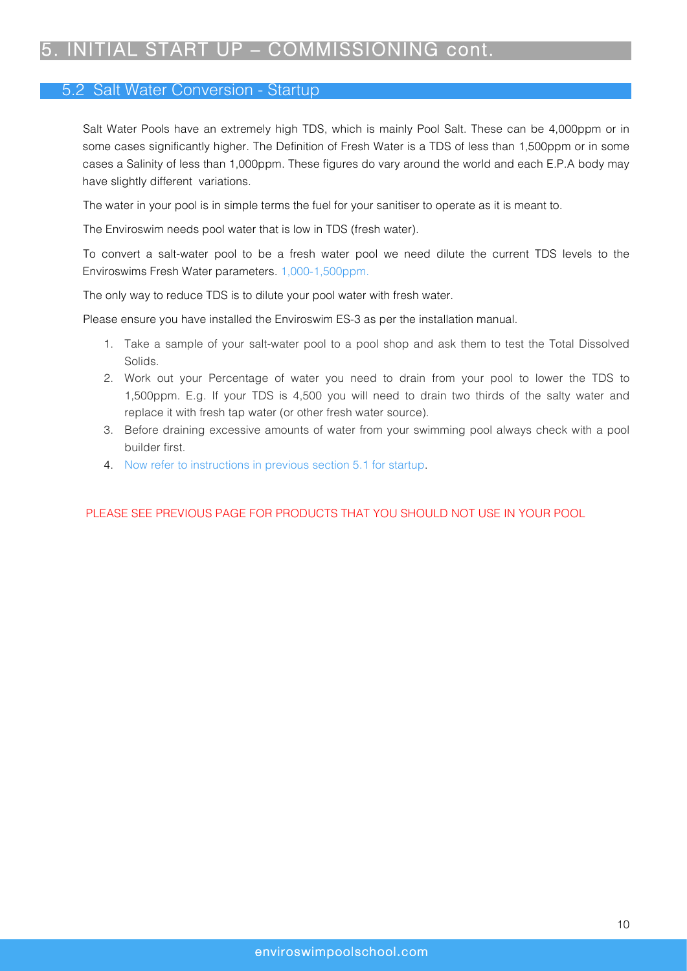## 5. INITIAL START UP – COMMISSIONING cont.

### 5.2 Salt Water Conversion - Startup

Salt Water Pools have an extremely high TDS, which is mainly Pool Salt. These can be 4,000ppm or in some cases significantly higher. The Definition of Fresh Water is a TDS of less than 1,500ppm or in some cases a Salinity of less than 1,000ppm. These figures do vary around the world and each E.P.A body may have slightly different variations.

The water in your pool is in simple terms the fuel for your sanitiser to operate as it is meant to.

The Enviroswim needs pool water that is low in TDS (fresh water).

To convert a salt-water pool to be a fresh water pool we need dilute the current TDS levels to the Enviroswims Fresh Water parameters. 1,000-1,500ppm.

The only way to reduce TDS is to dilute your pool water with fresh water.

Please ensure you have installed the Enviroswim ES-3 as per the installation manual.

- 1. Take a sample of your salt-water pool to a pool shop and ask them to test the Total Dissolved Solids.
- 2. Work out your Percentage of water you need to drain from your pool to lower the TDS to 1,500ppm. E.g. If your TDS is 4,500 you will need to drain two thirds of the salty water and replace it with fresh tap water (or other fresh water source).
- 3. Before draining excessive amounts of water from your swimming pool always check with a pool builder first.
- 4. Now refer to instructions in previous section 5.1 for startup.

#### PLEASE SEE PREVIOUS PAGE FOR PRODUCTS THAT YOU SHOULD NOT USE IN YOUR POOL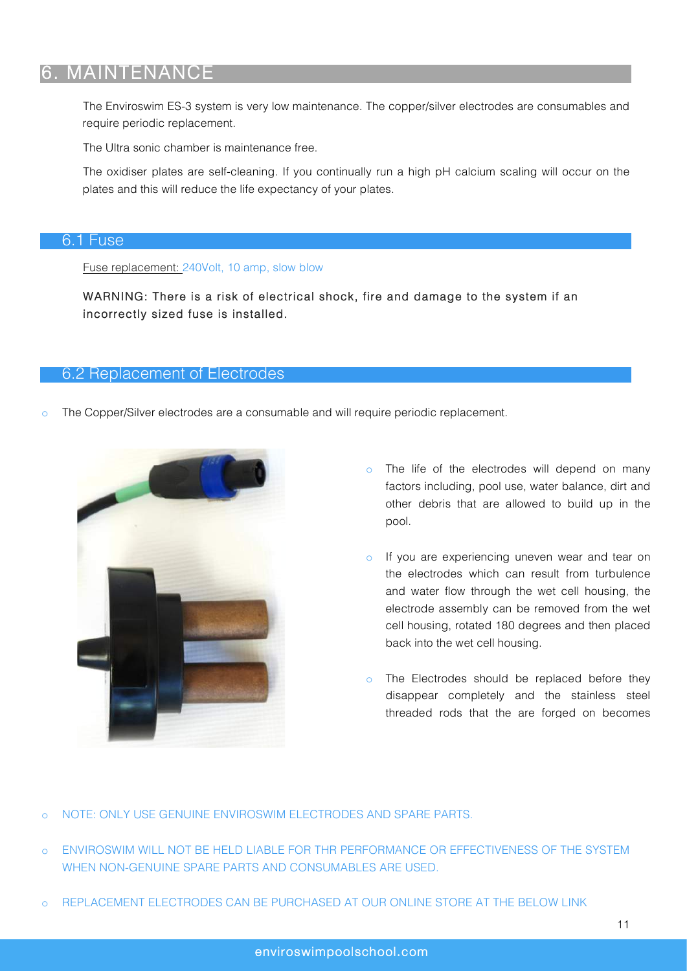## 6. MAINTENANCE

The Enviroswim ES-3 system is very low maintenance. The copper/silver electrodes are consumables and require periodic replacement.

The Ultra sonic chamber is maintenance free.

The oxidiser plates are self-cleaning. If you continually run a high pH calcium scaling will occur on the plates and this will reduce the life expectancy of your plates.

#### 6.1 Fuse

Fuse replacement: 240Volt, 10 amp, slow blow

WARNING: There is a risk of electrical shock, fire and damage to the system if an incorrectly sized fuse is installed.

#### 6.2 Replacement of Electrodes

The Copper/Silver electrodes are a consumable and will require periodic replacement.



- o The life of the electrodes will depend on many factors including, pool use, water balance, dirt and other debris that are allowed to build up in the pool.
- o If you are experiencing uneven wear and tear on the electrodes which can result from turbulence and water flow through the wet cell housing, the electrode assembly can be removed from the wet cell housing, rotated 180 degrees and then placed back into the wet cell housing.
- o The Electrodes should be replaced before they disappear completely and the stainless steel threaded rods that the are forged on becomes

NOTE: ONLY USE GENUINE ENVIROSWIM ELECTRODES AND SPARE PARTS.

- o ENVIROSWIM WILL NOT BE HELD LIABLE FOR THR PERFORMANCE OR EFFECTIVENESS OF THE SYSTEM WHEN NON-GENUINE SPARE PARTS AND CONSUMABLES ARE USED.
- o REPLACEMENT ELECTRODES CAN BE PURCHASED AT OUR ONLINE STORE AT THE BELOW LINK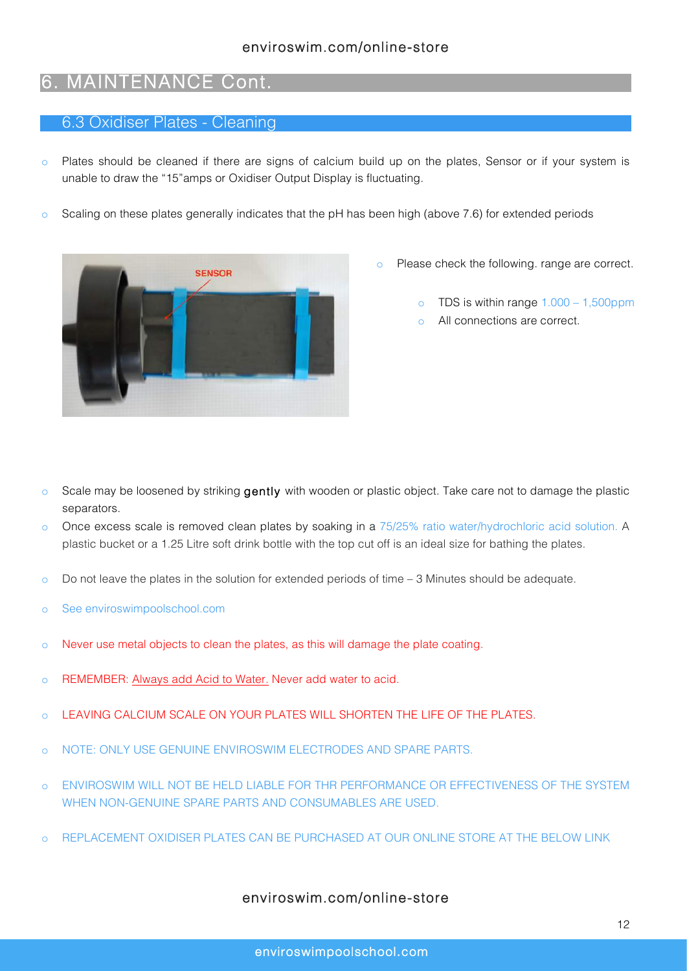### 6. MAINTENANCE Cont.

#### 6.3 Oxidiser Plates - Cleaning

- o Plates should be cleaned if there are signs of calcium build up on the plates, Sensor or if your system is unable to draw the "15"amps or Oxidiser Output Display is fluctuating.
- o Scaling on these plates generally indicates that the pH has been high (above 7.6) for extended periods



- o Please check the following. range are correct.
	- o TDS is within range 1.000 1,500ppm
	- o All connections are correct.

- $\circ$  Scale may be loosened by striking gently with wooden or plastic object. Take care not to damage the plastic separators.
- o Once excess scale is removed clean plates by soaking in a 75/25% ratio water/hydrochloric acid solution. A plastic bucket or a 1.25 Litre soft drink bottle with the top cut off is an ideal size for bathing the plates.
- $\circ$  Do not leave the plates in the solution for extended periods of time  $-3$  Minutes should be adequate.
- o See enviroswimpoolschool.com
- o Never use metal objects to clean the plates, as this will damage the plate coating.
- o REMEMBER: Always add Acid to Water. Never add water to acid.
- o LEAVING CALCIUM SCALE ON YOUR PLATES WILL SHORTEN THE LIFE OF THE PLATES.
- o NOTE: ONLY USE GENUINE ENVIROSWIM ELECTRODES AND SPARE PARTS.
- o ENVIROSWIM WILL NOT BE HELD LIABLE FOR THR PERFORMANCE OR EFFECTIVENESS OF THE SYSTEM WHEN NON-GENUINE SPARE PARTS AND CONSUMABLES ARE USED.
- o REPLACEMENT OXIDISER PLATES CAN BE PURCHASED AT OUR ONLINE STORE AT THE BELOW LINK

#### enviroswim.com/online-store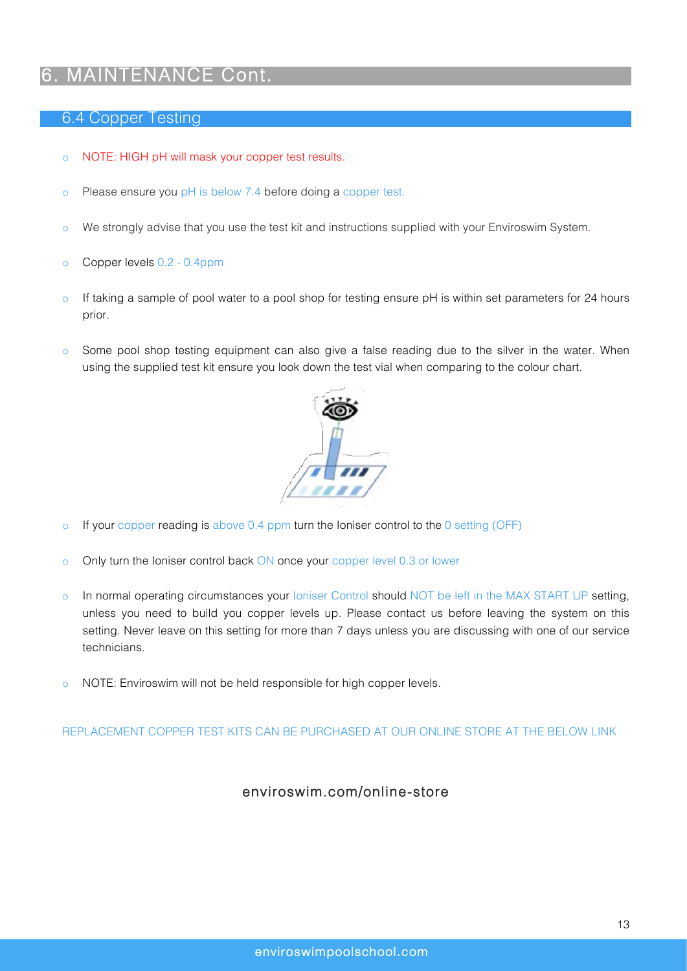## 6. MAINTENANCE Cont.

#### 6.4 Copper Testing

- o NOTE: HIGH pH will mask your copper test results.
- o Please ensure you pH is below 7.4 before doing a copper test.
- o We strongly advise that you use the test kit and instructions supplied with your Enviroswim System.
- o Copper levels 0.2 0.4ppm
- $\circ$  If taking a sample of pool water to a pool shop for testing ensure pH is within set parameters for 24 hours prior.
- o Some pool shop testing equipment can also give a false reading due to the silver in the water. When using the supplied test kit ensure you look down the test vial when comparing to the colour chart.



- o If your copper reading is above 0.4 ppm turn the Ioniser control to the 0 setting (OFF)
- o Only turn the Ioniser control back ON once your copper level 0.3 or lower
- o In normal operating circumstances your loniser Control should NOT be left in the MAX START UP setting, unless you need to build you copper levels up. Please contact us before leaving the system on this setting. Never leave on this setting for more than 7 days unless you are discussing with one of our service technicians.
- o NOTE: Enviroswim will not be held responsible for high copper levels.

REPLACEMENT COPPER TEST KITS CAN BE PURCHASED AT OUR ONLINE STORE AT THE BELOW LINK

### enviroswim.com/online-store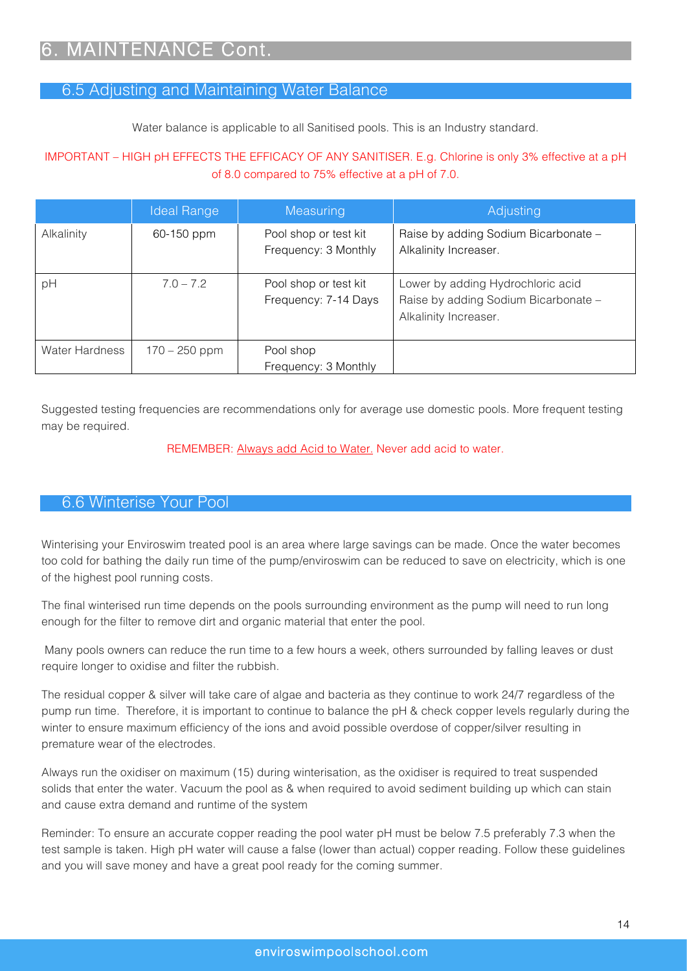### 6.5 Adjusting and Maintaining Water Balance

Water balance is applicable to all Sanitised pools. This is an Industry standard.

#### IMPORTANT – HIGH pH EFFECTS THE EFFICACY OF ANY SANITISER. E.g. Chlorine is only 3% effective at a pH of 8.0 compared to 75% effective at a pH of 7.0.

|                       | <b>Ideal Range</b> | Measuring                                     | Adjusting                                                                                          |
|-----------------------|--------------------|-----------------------------------------------|----------------------------------------------------------------------------------------------------|
| Alkalinity            | 60-150 ppm         | Pool shop or test kit<br>Frequency: 3 Monthly | Raise by adding Sodium Bicarbonate -<br>Alkalinity Increaser.                                      |
| pH                    | $7.0 - 7.2$        | Pool shop or test kit<br>Frequency: 7-14 Days | Lower by adding Hydrochloric acid<br>Raise by adding Sodium Bicarbonate -<br>Alkalinity Increaser. |
| <b>Water Hardness</b> | $170 - 250$ ppm    | Pool shop<br>Frequency: 3 Monthly             |                                                                                                    |

Suggested testing frequencies are recommendations only for average use domestic pools. More frequent testing may be required.

#### REMEMBER: Always add Acid to Water. Never add acid to water.

### 6.6 Winterise Your Pool

Winterising your Enviroswim treated pool is an area where large savings can be made. Once the water becomes too cold for bathing the daily run time of the pump/enviroswim can be reduced to save on electricity, which is one of the highest pool running costs.

The final winterised run time depends on the pools surrounding environment as the pump will need to run long enough for the filter to remove dirt and organic material that enter the pool.

Many pools owners can reduce the run time to a few hours a week, others surrounded by falling leaves or dust require longer to oxidise and filter the rubbish.

The residual copper & silver will take care of algae and bacteria as they continue to work 24/7 regardless of the pump run time. Therefore, it is important to continue to balance the pH & check copper levels regularly during the winter to ensure maximum efficiency of the ions and avoid possible overdose of copper/silver resulting in premature wear of the electrodes.

Always run the oxidiser on maximum (15) during winterisation, as the oxidiser is required to treat suspended solids that enter the water. Vacuum the pool as & when required to avoid sediment building up which can stain and cause extra demand and runtime of the system

Reminder: To ensure an accurate copper reading the pool water pH must be below 7.5 preferably 7.3 when the test sample is taken. High pH water will cause a false (lower than actual) copper reading. Follow these guidelines and you will save money and have a great pool ready for the coming summer.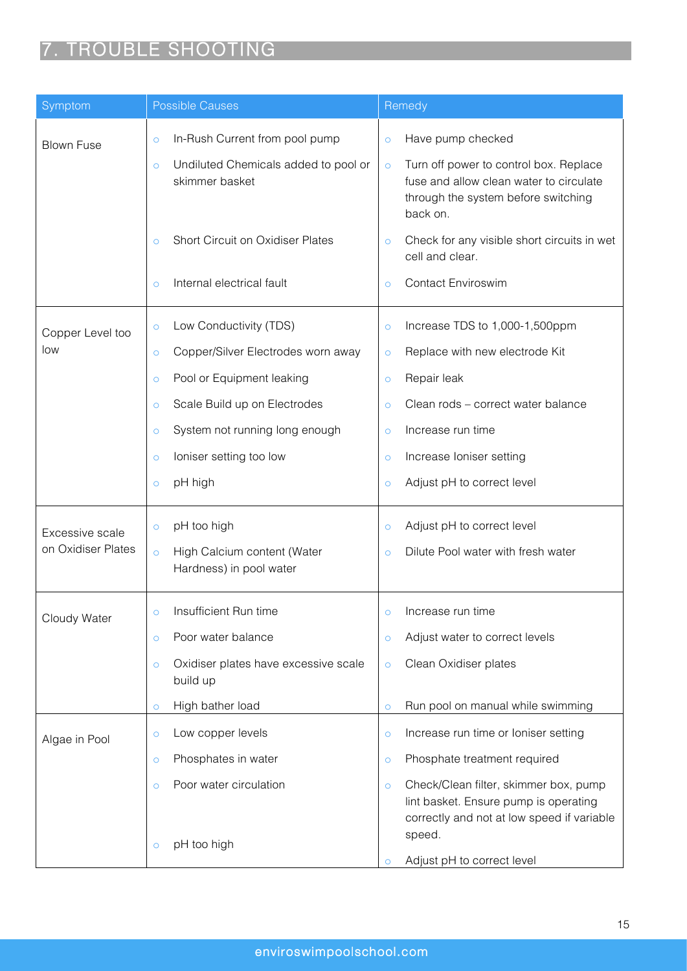# 7. TROUBLE SHOOTING

| Symptom            | Possible Causes                                                   | Remedy                                                                                                                                          |
|--------------------|-------------------------------------------------------------------|-------------------------------------------------------------------------------------------------------------------------------------------------|
| <b>Blown Fuse</b>  | In-Rush Current from pool pump<br>$\circ$                         | Have pump checked<br>$\circ$                                                                                                                    |
|                    | Undiluted Chemicals added to pool or<br>$\circ$<br>skimmer basket | Turn off power to control box. Replace<br>$\circ$<br>fuse and allow clean water to circulate<br>through the system before switching<br>back on. |
|                    | <b>Short Circuit on Oxidiser Plates</b><br>$\circ$                | Check for any visible short circuits in wet<br>$\circ$<br>cell and clear.                                                                       |
|                    | Internal electrical fault<br>$\circ$                              | <b>Contact Enviroswim</b><br>$\circ$                                                                                                            |
| Copper Level too   | Low Conductivity (TDS)<br>$\circ$                                 | Increase TDS to 1,000-1,500ppm<br>$\circ$                                                                                                       |
| low                | Copper/Silver Electrodes worn away<br>$\circ$                     | Replace with new electrode Kit<br>$\circ$                                                                                                       |
|                    | Pool or Equipment leaking<br>$\circ$                              | Repair leak<br>$\circ$                                                                                                                          |
|                    | Scale Build up on Electrodes<br>$\circ$                           | Clean rods - correct water balance<br>$\circ$                                                                                                   |
|                    | System not running long enough<br>$\circ$                         | Increase run time<br>$\circ$                                                                                                                    |
|                    | loniser setting too low<br>$\circ$                                | Increase Ioniser setting<br>$\circ$                                                                                                             |
|                    | pH high<br>$\circ$                                                | Adjust pH to correct level<br>$\circ$                                                                                                           |
| Excessive scale    | pH too high<br>$\circ$                                            | Adjust pH to correct level<br>$\circ$                                                                                                           |
| on Oxidiser Plates | High Calcium content (Water<br>$\circ$<br>Hardness) in pool water | Dilute Pool water with fresh water<br>$\circ$                                                                                                   |
| Cloudy Water       | Insufficient Run time                                             | Increase run time                                                                                                                               |
|                    | Poor water balance<br>$\circ$                                     | Adjust water to correct levels<br>$\circ$                                                                                                       |
|                    | Oxidiser plates have excessive scale<br>$\circ$<br>build up       | Clean Oxidiser plates<br>$\circ$                                                                                                                |
|                    | High bather load<br>$\circ$                                       | Run pool on manual while swimming<br>$\circ$                                                                                                    |
| Algae in Pool      | Low copper levels<br>$\circ$                                      | Increase run time or Ioniser setting<br>$\circ$                                                                                                 |
|                    | Phosphates in water<br>$\circ$                                    | Phosphate treatment required<br>$\circ$                                                                                                         |
|                    | Poor water circulation<br>$\circ$                                 | Check/Clean filter, skimmer box, pump<br>$\circ$<br>lint basket. Ensure pump is operating<br>correctly and not at low speed if variable         |
|                    | pH too high<br>$\circ$                                            | speed.<br>Adjust pH to correct level<br>$\circ$                                                                                                 |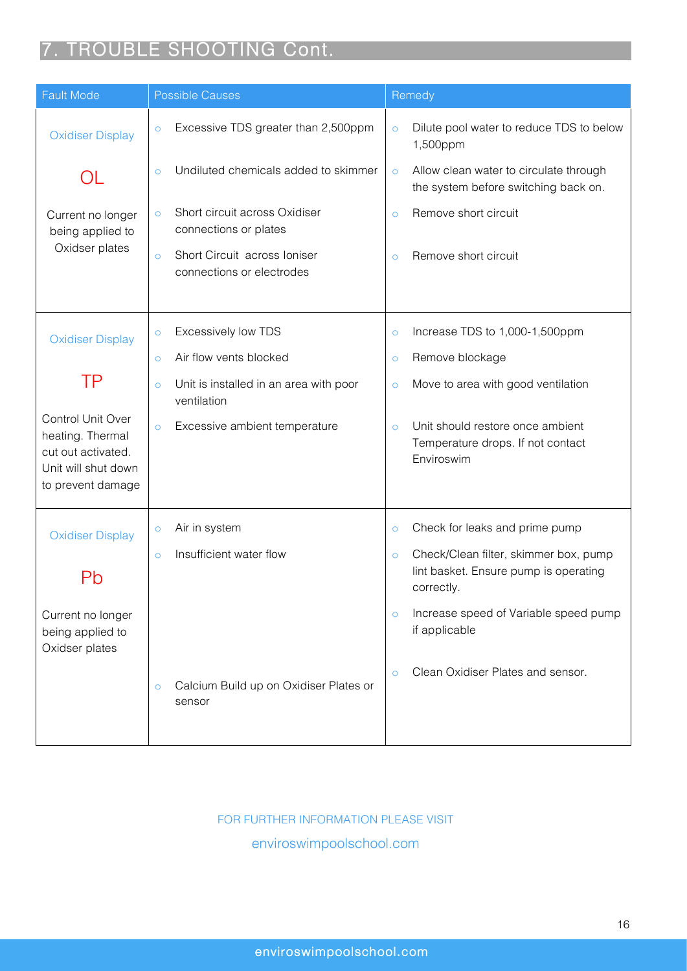# 7. TROUBLE SHOOTING Cont.

| <b>Fault Mode</b><br><b>Possible Causes</b>                                                             |                                                                      | Remedy                                                                                                  |
|---------------------------------------------------------------------------------------------------------|----------------------------------------------------------------------|---------------------------------------------------------------------------------------------------------|
| <b>Oxidiser Display</b>                                                                                 | Excessive TDS greater than 2,500ppm<br>$\circ$                       | Dilute pool water to reduce TDS to below<br>$\circ$<br>1,500ppm                                         |
|                                                                                                         | Undiluted chemicals added to skimmer<br>$\circ$                      | Allow clean water to circulate through<br>$\circ$<br>the system before switching back on.               |
| Current no longer<br>being applied to                                                                   | Short circuit across Oxidiser<br>$\circ$<br>connections or plates    | Remove short circuit<br>$\circ$                                                                         |
| Oxidser plates                                                                                          | Short Circuit across Ioniser<br>$\circ$<br>connections or electrodes | Remove short circuit<br>$\circ$                                                                         |
|                                                                                                         |                                                                      |                                                                                                         |
| <b>Oxidiser Display</b>                                                                                 | Excessively low TDS<br>$\circ$                                       | Increase TDS to 1,000-1,500ppm<br>Ō                                                                     |
|                                                                                                         | Air flow vents blocked<br>$\circ$                                    | Remove blockage<br>$\circ$                                                                              |
| ΤP                                                                                                      | Unit is installed in an area with poor<br>$\circ$<br>ventilation     | Move to area with good ventilation<br>$\circ$                                                           |
| Control Unit Over<br>heating. Thermal<br>cut out activated.<br>Unit will shut down<br>to prevent damage | Excessive ambient temperature<br>$\circ$                             | Unit should restore once ambient<br>$\circ$<br>Temperature drops. If not contact<br>Enviroswim          |
| <b>Oxidiser Display</b>                                                                                 | Air in system<br>$\circ$                                             | Check for leaks and prime pump<br>$\circ$                                                               |
|                                                                                                         | Insufficient water flow<br>$\circ$                                   | Check/Clean filter, skimmer box, pump<br>$\circ$<br>lint basket. Ensure pump is operating<br>correctly. |
| Current no longer<br>being applied to<br>Oxidser plates                                                 |                                                                      | Increase speed of Variable speed pump<br>$\circ$<br>if applicable                                       |
|                                                                                                         | Calcium Build up on Oxidiser Plates or<br>$\circ$<br>sensor          | Clean Oxidiser Plates and sensor.<br>$\circ$                                                            |

### FOR FURTHER INFORMATION PLEASE VISIT

enviroswimpoolschool.com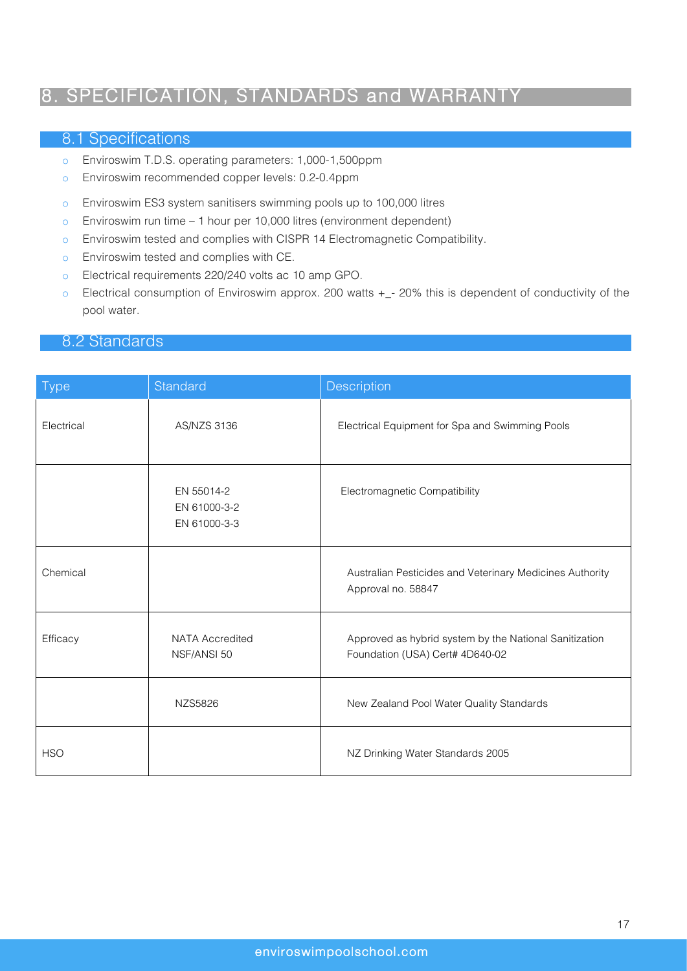## 8. SPECIFICATION, STANDARDS and WARRANTY

#### 8.1 Specifications

- o Enviroswim T.D.S. operating parameters: 1,000-1,500ppm
- o Enviroswim recommended copper levels: 0.2-0.4ppm
- o Enviroswim ES3 system sanitisers swimming pools up to 100,000 litres
- o Enviroswim run time 1 hour per 10,000 litres (environment dependent)
- o Enviroswim tested and complies with CISPR 14 Electromagnetic Compatibility.
- o Enviroswim tested and complies with CE.
- o Electrical requirements 220/240 volts ac 10 amp GPO.
- o Electrical consumption of Enviroswim approx. 200 watts +\_- 20% this is dependent of conductivity of the pool water.

### 8.2 Standards

| <b>Type</b> | Standard                                   | Description                                                                               |
|-------------|--------------------------------------------|-------------------------------------------------------------------------------------------|
| Electrical  | AS/NZS 3136                                | Electrical Equipment for Spa and Swimming Pools                                           |
|             | EN 55014-2<br>EN 61000-3-2<br>EN 61000-3-3 | Electromagnetic Compatibility                                                             |
| Chemical    |                                            | Australian Pesticides and Veterinary Medicines Authority<br>Approval no. 58847            |
| Efficacy    | <b>NATA Accredited</b><br>NSF/ANSI 50      | Approved as hybrid system by the National Sanitization<br>Foundation (USA) Cert# 4D640-02 |
|             | NZS5826                                    | New Zealand Pool Water Quality Standards                                                  |
| <b>HSO</b>  |                                            | NZ Drinking Water Standards 2005                                                          |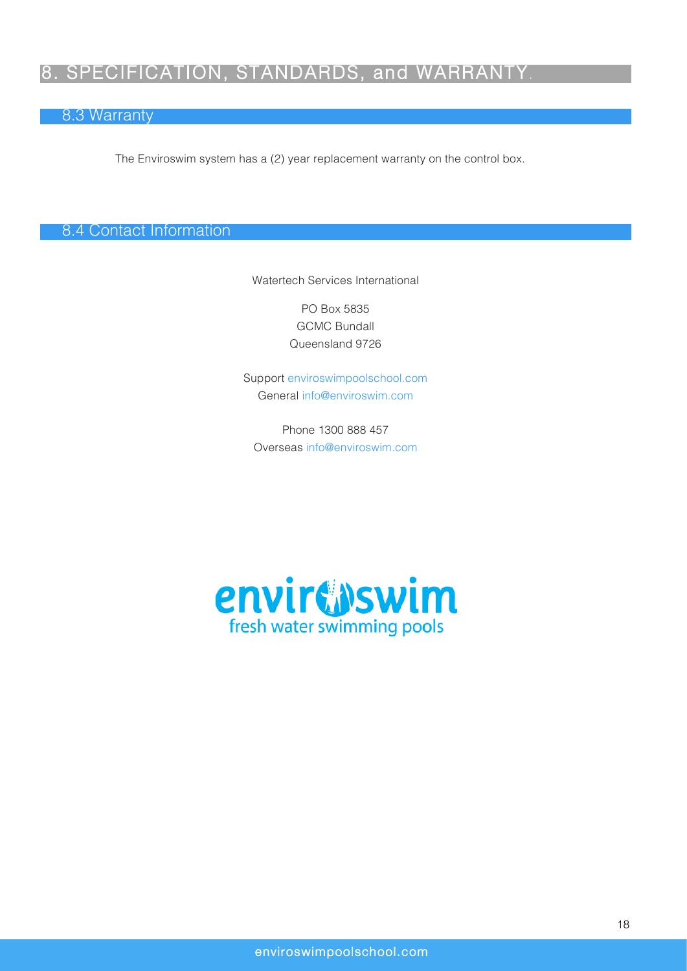## 8. SPECIFICATION, STANDARDS, and WARRANTY.

### 8.3 Warranty

The Enviroswim system has a (2) year replacement warranty on the control box.

8.4 Contact Information

Watertech Services International

PO Box 5835 GCMC Bundall Queensland 9726

Support enviroswimpoolschool.com General info@enviroswim.com

Phone 1300 888 457 Overseas info@enviroswim.com